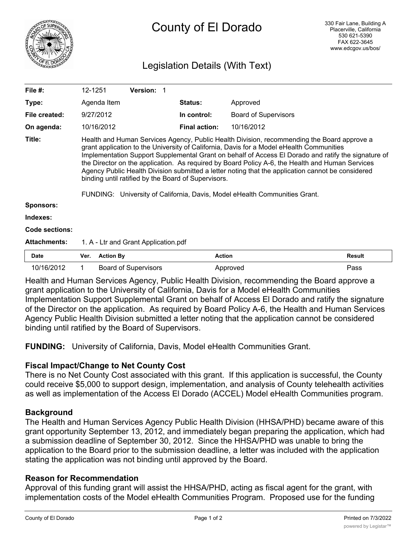

# Legislation Details (With Text)

| File $#$ :            | 12-1251                                                                                                                                                                                                                                                                                                                                                                                                                                                                                                                                                                                                                                    |                  | <b>Version: 1</b>           |  |                      |                             |               |
|-----------------------|--------------------------------------------------------------------------------------------------------------------------------------------------------------------------------------------------------------------------------------------------------------------------------------------------------------------------------------------------------------------------------------------------------------------------------------------------------------------------------------------------------------------------------------------------------------------------------------------------------------------------------------------|------------------|-----------------------------|--|----------------------|-----------------------------|---------------|
| Type:                 |                                                                                                                                                                                                                                                                                                                                                                                                                                                                                                                                                                                                                                            | Agenda Item      |                             |  | <b>Status:</b>       | Approved                    |               |
| File created:         |                                                                                                                                                                                                                                                                                                                                                                                                                                                                                                                                                                                                                                            | 9/27/2012        |                             |  | In control:          | <b>Board of Supervisors</b> |               |
| On agenda:            |                                                                                                                                                                                                                                                                                                                                                                                                                                                                                                                                                                                                                                            | 10/16/2012       |                             |  | <b>Final action:</b> | 10/16/2012                  |               |
| Title:                | Health and Human Services Agency, Public Health Division, recommending the Board approve a<br>grant application to the University of California, Davis for a Model eHealth Communities<br>Implementation Support Supplemental Grant on behalf of Access El Dorado and ratify the signature of<br>the Director on the application. As required by Board Policy A-6, the Health and Human Services<br>Agency Public Health Division submitted a letter noting that the application cannot be considered<br>binding until ratified by the Board of Supervisors.<br>FUNDING: University of California, Davis, Model eHealth Communities Grant. |                  |                             |  |                      |                             |               |
| <b>Sponsors:</b>      |                                                                                                                                                                                                                                                                                                                                                                                                                                                                                                                                                                                                                                            |                  |                             |  |                      |                             |               |
| Indexes:              |                                                                                                                                                                                                                                                                                                                                                                                                                                                                                                                                                                                                                                            |                  |                             |  |                      |                             |               |
| <b>Code sections:</b> |                                                                                                                                                                                                                                                                                                                                                                                                                                                                                                                                                                                                                                            |                  |                             |  |                      |                             |               |
| <b>Attachments:</b>   | 1. A - Ltr and Grant Application.pdf                                                                                                                                                                                                                                                                                                                                                                                                                                                                                                                                                                                                       |                  |                             |  |                      |                             |               |
| <b>Date</b>           | Ver.                                                                                                                                                                                                                                                                                                                                                                                                                                                                                                                                                                                                                                       | <b>Action By</b> |                             |  | <b>Action</b>        |                             | <b>Result</b> |
| 10/16/2012            |                                                                                                                                                                                                                                                                                                                                                                                                                                                                                                                                                                                                                                            |                  | <b>Board of Supervisors</b> |  |                      | Approved                    | Pass          |

Health and Human Services Agency, Public Health Division, recommending the Board approve a grant application to the University of California, Davis for a Model eHealth Communities Implementation Support Supplemental Grant on behalf of Access El Dorado and ratify the signature of the Director on the application. As required by Board Policy A-6, the Health and Human Services Agency Public Health Division submitted a letter noting that the application cannot be considered binding until ratified by the Board of Supervisors.

**FUNDING:** University of California, Davis, Model eHealth Communities Grant.

## **Fiscal Impact/Change to Net County Cost**

There is no Net County Cost associated with this grant. If this application is successful, the County could receive \$5,000 to support design, implementation, and analysis of County telehealth activities as well as implementation of the Access El Dorado (ACCEL) Model eHealth Communities program.

## **Background**

The Health and Human Services Agency Public Health Division (HHSA/PHD) became aware of this grant opportunity September 13, 2012, and immediately began preparing the application, which had a submission deadline of September 30, 2012. Since the HHSA/PHD was unable to bring the application to the Board prior to the submission deadline, a letter was included with the application stating the application was not binding until approved by the Board.

## **Reason for Recommendation**

Approval of this funding grant will assist the HHSA/PHD, acting as fiscal agent for the grant, with implementation costs of the Model eHealth Communities Program. Proposed use for the funding